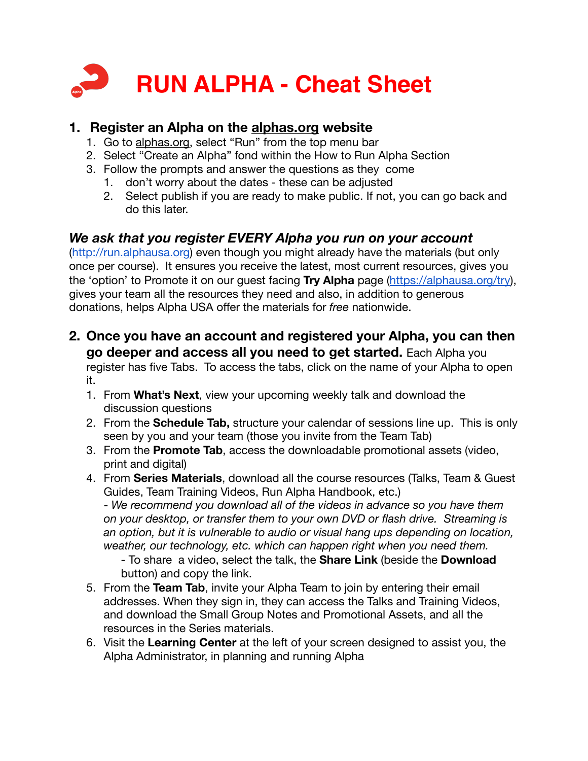

## **1. Register an Alpha on the [alphas.org](http://alphas.org) website**

- 1. Go to [alphas.org](http://alphas.org), select "Run" from the top menu bar
- 2. Select "Create an Alpha" fond within the How to Run Alpha Section
- 3. Follow the prompts and answer the questions as they come
	- 1. don't worry about the dates these can be adjusted
	- 2. Select publish if you are ready to make public. If not, you can go back and do this later.

## *We ask that you register EVERY Alpha you run on your account*

[\(http://run.alphausa.org\)](http://run.alphausa.org/) even though you might already have the materials (but only once per course). It ensures you receive the latest, most current resources, gives you the 'option' to Promote it on our guest facing **Try Alpha** page ([https://alphausa.org/try\)](https://alphausa.org/try), gives your team all the resources they need and also, in addition to generous donations, helps Alpha USA offer the materials for *free* nationwide.

**2. Once you have an account and registered your Alpha, you can then go deeper and access all you need to get started.** Each Alpha you

register has five Tabs. To access the tabs, click on the name of your Alpha to open it.

- 1. From **What's Next**, view your upcoming weekly talk and download the discussion questions
- 2. From the **Schedule Tab,** structure your calendar of sessions line up. This is only seen by you and your team (those you invite from the Team Tab)
- 3. From the **Promote Tab**, access the downloadable promotional assets (video, print and digital)
- 4. From **Series Materials**, download all the course resources (Talks, Team & Guest Guides, Team Training Videos, Run Alpha Handbook, etc.) - *We recommend you download all of the videos in advance so you have them on your desktop, or transfer them to your own DVD or flash drive. Streaming is an option, but it is vulnerable to audio or visual hang ups depending on location, weather, our technology, etc. which can happen right when you need them.*

- To share a video, select the talk, the **Share Link** (beside the **Download**  button) and copy the link.

- 5. From the **Team Tab**, invite your Alpha Team to join by entering their email addresses. When they sign in, they can access the Talks and Training Videos, and download the Small Group Notes and Promotional Assets, and all the resources in the Series materials.
- 6. Visit the **Learning Center** at the left of your screen designed to assist you, the Alpha Administrator, in planning and running Alpha